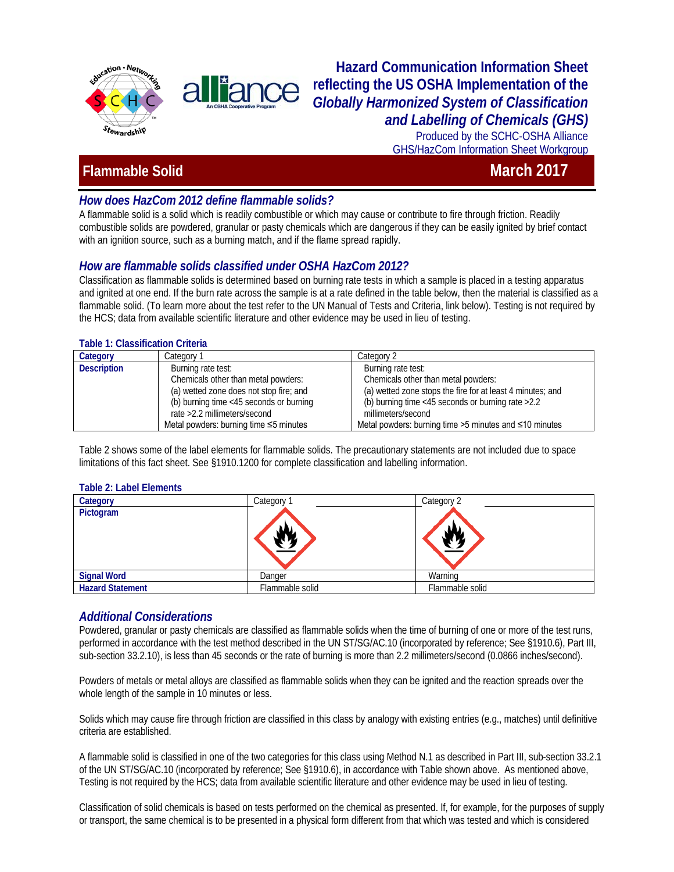

## **Hazard Communication Information Sheet reflecting the US OSHA Implementation of the**  *Globally Harmonized System of Classification and Labelling of Chemicals (GHS)*

Produced by the SCHC-OSHA Alliance GHS/HazCom Information Sheet Workgroup

# **Flammable Solid** March 2017

## *How does HazCom 2012 define flammable solids?*

A flammable solid is a solid which is readily combustible or which may cause or contribute to fire through friction. Readily combustible solids are powdered, granular or pasty chemicals which are dangerous if they can be easily ignited by brief contact with an ignition source, such as a burning match, and if the flame spread rapidly.

### *How are flammable solids classified under OSHA HazCom 2012?*

**i**and

Classification as flammable solids is determined based on burning rate tests in which a sample is placed in a testing apparatus and ignited at one end. If the burn rate across the sample is at a rate defined in the table below, then the material is classified as a flammable solid. (To learn more about the test refer to the UN Manual of Tests and Criteria, link below). Testing is not required by the HCS; data from available scientific literature and other evidence may be used in lieu of testing.

#### **Table 1: Classification Criteria**

| Category           | Category 1                                   | Category 2                                                 |
|--------------------|----------------------------------------------|------------------------------------------------------------|
| <b>Description</b> | Burning rate test:                           | Burning rate test:                                         |
|                    | Chemicals other than metal powders:          | Chemicals other than metal powders:                        |
|                    | (a) wetted zone does not stop fire; and      | (a) wetted zone stops the fire for at least 4 minutes; and |
|                    | (b) burning time <45 seconds or burning      | (b) burning time $<45$ seconds or burning rate $>2.2$      |
|                    | rate > 2.2 millimeters/second                | millimeters/second                                         |
|                    | Metal powders: burning time $\leq$ 5 minutes | Metal powders: burning time >5 minutes and ≤10 minutes     |

Table 2 shows some of the label elements for flammable solids. The precautionary statements are not included due to space limitations of this fact sheet. See §1910.1200 for complete classification and labelling information.

#### **Table 2: Label Elements**

| Category                | Category        | Category 2      |
|-------------------------|-----------------|-----------------|
| Pictogram               |                 |                 |
| <b>Signal Word</b>      | Danger          | Warning         |
| <b>Hazard Statement</b> | Flammable solid | Flammable solid |

### *Additional Considerations*

Powdered, granular or pasty chemicals are classified as flammable solids when the time of burning of one or more of the test runs, performed in accordance with the test method described in the UN ST/SG/AC.10 (incorporated by reference; See §1910.6), Part III, sub-section 33.2.10), is less than 45 seconds or the rate of burning is more than 2.2 millimeters/second (0.0866 inches/second).

Powders of metals or metal alloys are classified as flammable solids when they can be ignited and the reaction spreads over the whole length of the sample in 10 minutes or less.

Solids which may cause fire through friction are classified in this class by analogy with existing entries (e.g., matches) until definitive criteria are established.

A flammable solid is classified in one of the two categories for this class using Method N.1 as described in Part III, sub-section 33.2.1 of the UN ST/SG/AC.10 (incorporated by reference; See §1910.6), in accordance with Table shown above. As mentioned above, Testing is not required by the HCS; data from available scientific literature and other evidence may be used in lieu of testing.

Classification of solid chemicals is based on tests performed on the chemical as presented. If, for example, for the purposes of supply or transport, the same chemical is to be presented in a physical form different from that which was tested and which is considered